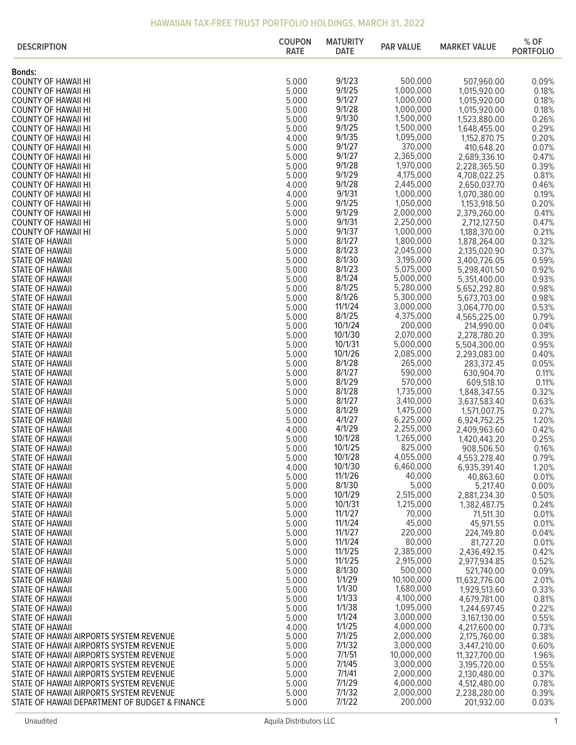| <b>DESCRIPTION</b>                                                                 | <b>COUPON</b><br><b>RATE</b> | <b>MATURITY</b><br><b>DATE</b> | <b>PAR VALUE</b>       | <b>MARKET VALUE</b>          | % OF<br><b>PORTFOLIO</b> |
|------------------------------------------------------------------------------------|------------------------------|--------------------------------|------------------------|------------------------------|--------------------------|
| <b>Bonds:</b>                                                                      |                              |                                |                        |                              |                          |
| <b>COUNTY OF HAWAII HI</b>                                                         | 5.000                        | 9/1/23                         | 500,000                | 507,960.00                   | 0.09%                    |
| <b>COUNTY OF HAWAII HI</b>                                                         | 5.000                        | 9/1/25                         | 1,000,000              | 1,015,920.00                 | 0.18%                    |
| <b>COUNTY OF HAWAII HI</b>                                                         | 5.000                        | 9/1/27                         | 1,000,000              | 1,015,920.00                 | 0.18%                    |
| <b>COUNTY OF HAWAII HI</b>                                                         | 5.000                        | 9/1/28                         | 1,000,000              | 1,015,920.00                 | 0.18%                    |
| <b>COUNTY OF HAWAII HI</b><br><b>COUNTY OF HAWAII HI</b>                           | 5.000<br>5.000               | 9/1/30<br>9/1/25               | 1,500,000<br>1,500,000 | 1,523,880.00<br>1,648,455.00 | 0.26%<br>0.29%           |
| <b>COUNTY OF HAWAII HI</b>                                                         | 4.000                        | 9/1/35                         | 1,095,000              | 1,152,870.75                 | 0.20%                    |
| <b>COUNTY OF HAWAII HI</b>                                                         | 5.000                        | 9/1/27                         | 370,000                | 410,648.20                   | 0.07%                    |
| <b>COUNTY OF HAWAII HI</b>                                                         | 5.000                        | 9/1/27                         | 2,365,000              | 2,689,336.10                 | 0.47%                    |
| <b>COUNTY OF HAWAII HI</b>                                                         | 5.000                        | 9/1/28                         | 1,970,000              | 2,228,365.50                 | 0.39%                    |
| <b>COUNTY OF HAWAII HI</b>                                                         | 5.000                        | 9/1/29                         | 4,175,000              | 4,708,022.25                 | 0.81%                    |
| <b>COUNTY OF HAWAII HI</b>                                                         | 4.000<br>4.000               | 9/1/28<br>9/1/31               | 2,445,000<br>1,000,000 | 2,650,037.70                 | 0.46%                    |
| <b>COUNTY OF HAWAII HI</b><br><b>COUNTY OF HAWAII HI</b>                           | 5.000                        | 9/1/25                         | 1,050,000              | 1,070,380.00<br>1,153,918.50 | 0.19%<br>0.20%           |
| <b>COUNTY OF HAWAII HI</b>                                                         | 5.000                        | 9/1/29                         | 2,000,000              | 2,379,260.00                 | 0.41%                    |
| <b>COUNTY OF HAWAII HI</b>                                                         | 5.000                        | 9/1/31                         | 2,250,000              | 2,712,127.50                 | 0.47%                    |
| <b>COUNTY OF HAWAII HI</b>                                                         | 5.000                        | 9/1/37                         | 1,000,000              | 1,188,370.00                 | 0.21%                    |
| STATE OF HAWAII                                                                    | 5.000                        | 8/1/27                         | 1,800,000              | 1,878,264.00                 | 0.32%                    |
| STATE OF HAWAII                                                                    | 5.000                        | 8/1/23                         | 2,045,000              | 2,135,020.90                 | 0.37%                    |
| STATE OF HAWAII                                                                    | 5.000                        | 8/1/30<br>8/1/23               | 3,195,000              | 3,400,726.05                 | 0.59%                    |
| STATE OF HAWAII<br>STATE OF HAWAII                                                 | 5.000<br>5.000               | 8/1/24                         | 5,075,000<br>5,000,000 | 5,298,401.50<br>5,351,400.00 | 0.92%<br>0.93%           |
| <b>STATE OF HAWAII</b>                                                             | 5.000                        | 8/1/25                         | 5,280,000              | 5,652,292.80                 | 0.98%                    |
| STATE OF HAWAII                                                                    | 5.000                        | 8/1/26                         | 5,300,000              | 5,673,703.00                 | 0.98%                    |
| STATE OF HAWAII                                                                    | 5.000                        | 11/1/24                        | 3,000,000              | 3,064,770.00                 | 0.53%                    |
| STATE OF HAWAII                                                                    | 5.000                        | 8/1/25                         | 4,375,000              | 4,565,225.00                 | 0.79%                    |
| STATE OF HAWAII                                                                    | 5.000                        | 10/1/24                        | 200,000                | 214,990.00                   | 0.04%                    |
| STATE OF HAWAII<br>STATE OF HAWAII                                                 | 5.000<br>5.000               | 10/1/30<br>10/1/31             | 2,070,000<br>5,000,000 | 2,278,780.20<br>5,504,300.00 | 0.39%<br>0.95%           |
| STATE OF HAWAII                                                                    | 5.000                        | 10/1/26                        | 2,085,000              | 2,293,083.00                 | 0.40%                    |
| STATE OF HAWAII                                                                    | 5.000                        | 8/1/28                         | 265,000                | 283,372.45                   | 0.05%                    |
| STATE OF HAWAII                                                                    | 5.000                        | 8/1/27                         | 590,000                | 630,904.70                   | 0.11%                    |
| STATE OF HAWAII                                                                    | 5.000                        | 8/1/29                         | 570,000                | 609,518.10                   | 0.11%                    |
| STATE OF HAWAII                                                                    | 5.000                        | 8/1/28                         | 1,735,000              | 1,848,347.55                 | 0.32%                    |
| STATE OF HAWAII                                                                    | 5.000                        | 8/1/27                         | 3,410,000              | 3,637,583.40                 | 0.63%                    |
| STATE OF HAWAII<br>STATE OF HAWAII                                                 | 5.000<br>5.000               | 8/1/29<br>4/1/27               | 1,475,000<br>6,225,000 | 1,571,007.75<br>6,924,752.25 | 0.27%<br>1.20%           |
| STATE OF HAWAII                                                                    | 4.000                        | 4/1/29                         | 2,255,000              | 2,409,963.60                 | 0.42%                    |
| STATE OF HAWAII                                                                    | 5.000                        | 10/1/28                        | 1,265,000              | 1,420,443.20                 | 0.25%                    |
| STATE OF HAWAII                                                                    | 5.000                        | 10/1/25                        | 825,000                | 908,506.50                   | 0.16%                    |
| STATE OF HAWAII                                                                    | 5.000                        | 10/1/28                        | 4,055,000              | 4,553,278.40                 | 0.79%                    |
| STATE OF HAWAII                                                                    | 4.000                        | 10/1/30<br>11/1/26             | 6,460,000              | 6,935,391.40                 | 1.20%                    |
| STATE OF HAWAII<br><b>STATE OF HAWAII</b>                                          | 5.000<br>5.000               | 8/1/30                         | 40,000<br>5,000        | 40,863.60<br>5,217.40        | 0.01%<br>0.00%           |
| STATE OF HAWAII                                                                    | 5.000                        | 10/1/29                        | 2,515,000              | 2,881,234.30                 | 0.50%                    |
| STATE OF HAWAII                                                                    | 5.000                        | 10/1/31                        | 1,215,000              | 1,382,487.75                 | 0.24%                    |
| STATE OF HAWAII                                                                    | 5.000                        | 11/1/27                        | 70,000                 | 71,511.30                    | 0.01%                    |
| STATE OF HAWAII                                                                    | 5.000                        | 11/1/24                        | 45,000                 | 45,971.55                    | 0.01%                    |
| STATE OF HAWAII                                                                    | 5.000                        | 11/1/27                        | 220,000                | 224,749.80                   | 0.04%                    |
| STATE OF HAWAII<br>STATE OF HAWAII                                                 | 5.000<br>5.000               | 11/1/24<br>11/1/25             | 80,000<br>2,385,000    | 81,727.20<br>2,436,492.15    | 0.01%<br>0.42%           |
| <b>STATE OF HAWAII</b>                                                             | 5.000                        | 11/1/25                        | 2,915,000              | 2,977,934.85                 | 0.52%                    |
| <b>STATE OF HAWAII</b>                                                             | 5.000                        | 8/1/30                         | 500,000                | 521,740.00                   | 0.09%                    |
| STATE OF HAWAII                                                                    | 5.000                        | 1/1/29                         | 10,100,000             | 11,632,776.00                | 2.01%                    |
| STATE OF HAWAII                                                                    | 5.000                        | 1/1/30                         | 1,680,000              | 1,929,513.60                 | 0.33%                    |
| STATE OF HAWAII                                                                    | 5.000                        | 1/1/33                         | 4,100,000              | 4,679,781.00                 | 0.81%                    |
| STATE OF HAWAII                                                                    | 5.000                        | 1/1/38<br>1/1/24               | 1,095,000<br>3,000,000 | 1,244,697.45                 | 0.22%<br>0.55%           |
| STATE OF HAWAII<br><b>STATE OF HAWAII</b>                                          | 5.000<br>4.000               | 1/1/25                         | 4,000,000              | 3,167,130.00<br>4,217,600.00 | 0.73%                    |
| STATE OF HAWAII AIRPORTS SYSTEM REVENUE                                            | 5.000                        | 7/1/25                         | 2,000,000              | 2,175,760.00                 | 0.38%                    |
| STATE OF HAWAII AIRPORTS SYSTEM REVENUE                                            | 5.000                        | 7/1/32                         | 3,000,000              | 3,447,210.00                 | 0.60%                    |
| STATE OF HAWAII AIRPORTS SYSTEM REVENUE                                            | 5.000                        | 7/1/51                         | 10,000,000             | 11,327,700.00                | 1.96%                    |
| STATE OF HAWAII AIRPORTS SYSTEM REVENUE                                            | 5.000                        | 7/1/45                         | 3,000,000              | 3,195,720.00                 | 0.55%                    |
| STATE OF HAWAII AIRPORTS SYSTEM REVENUE                                            | 5.000                        | 7/1/41<br>7/1/29               | 2,000,000<br>4,000,000 | 2,130,480.00                 | 0.37%                    |
| STATE OF HAWAII AIRPORTS SYSTEM REVENUE<br>STATE OF HAWAII AIRPORTS SYSTEM REVENUE | 5.000<br>5.000               | 7/1/32                         | 2,000,000              | 4,512,480.00<br>2,238,280.00 | 0.78%<br>0.39%           |
| STATE OF HAWAII DEPARTMENT OF BUDGET & FINANCE                                     | 5.000                        | 7/1/22                         | 200,000                | 201,932.00                   | 0.03%                    |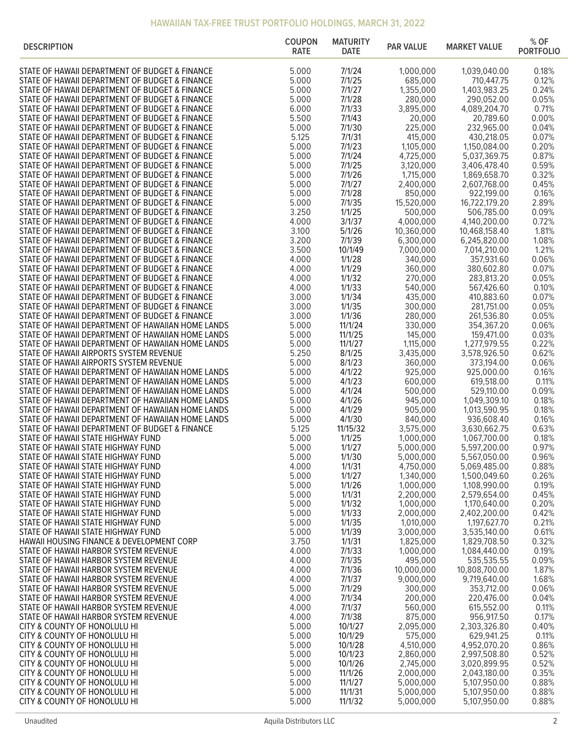| <b>DESCRIPTION</b>                                                                                     | <b>COUPON</b><br><b>RATE</b> | <b>MATURITY</b><br><b>DATE</b> | <b>PAR VALUE</b>       | <b>MARKET VALUE</b>          | % OF<br><b>PORTFOLIO</b> |
|--------------------------------------------------------------------------------------------------------|------------------------------|--------------------------------|------------------------|------------------------------|--------------------------|
| STATE OF HAWAII DEPARTMENT OF BUDGET & FINANCE                                                         | 5.000                        | 7/1/24                         | 1,000,000              | 1,039,040.00                 | 0.18%                    |
| STATE OF HAWAII DEPARTMENT OF BUDGET & FINANCE                                                         | 5.000                        | 7/1/25                         | 685,000                | 710,447.75                   | 0.12%                    |
| STATE OF HAWAII DEPARTMENT OF BUDGET & FINANCE                                                         | 5.000                        | 7/1/27                         | 1,355,000              | 1,403,983.25                 | 0.24%                    |
| STATE OF HAWAII DEPARTMENT OF BUDGET & FINANCE                                                         | 5.000                        | 7/1/28                         | 280,000                | 290,052.00                   | 0.05%                    |
| STATE OF HAWAII DEPARTMENT OF BUDGET & FINANCE                                                         | 6.000                        | 7/1/33                         | 3,895,000              | 4,089,204.70                 | 0.71%                    |
| STATE OF HAWAII DEPARTMENT OF BUDGET & FINANCE                                                         | 5.500                        | 7/1/43                         | 20,000                 | 20,789.60                    | 0.00%                    |
| STATE OF HAWAII DEPARTMENT OF BUDGET & FINANCE                                                         | 5.000                        | 7/1/30                         | 225,000                | 232,965.00                   | 0.04%<br>0.07%           |
| STATE OF HAWAII DEPARTMENT OF BUDGET & FINANCE<br>STATE OF HAWAII DEPARTMENT OF BUDGET & FINANCE       | 5.125<br>5.000               | 7/1/31<br>7/1/23               | 415,000<br>1,105,000   | 430,218.05<br>1,150,084.00   | 0.20%                    |
| STATE OF HAWAII DEPARTMENT OF BUDGET & FINANCE                                                         | 5.000                        | 7/1/24                         | 4,725,000              | 5,037,369.75                 | 0.87%                    |
| STATE OF HAWAII DEPARTMENT OF BUDGET & FINANCE                                                         | 5.000                        | 7/1/25                         | 3,120,000              | 3,406,478.40                 | 0.59%                    |
| STATE OF HAWAII DEPARTMENT OF BUDGET & FINANCE                                                         | 5.000                        | 7/1/26                         | 1,715,000              | 1,869,658.70                 | 0.32%                    |
| STATE OF HAWAII DEPARTMENT OF BUDGET & FINANCE                                                         | 5.000                        | 7/1/27                         | 2,400,000              | 2,607,768.00                 | 0.45%                    |
| STATE OF HAWAII DEPARTMENT OF BUDGET & FINANCE                                                         | 5.000                        | 7/1/28                         | 850,000                | 922,199.00                   | 0.16%                    |
| STATE OF HAWAII DEPARTMENT OF BUDGET & FINANCE                                                         | 5.000                        | 7/1/35                         | 15,520,000             | 16,722,179.20                | 2.89%                    |
| STATE OF HAWAII DEPARTMENT OF BUDGET & FINANCE                                                         | 3.250                        | 1/1/25                         | 500,000                | 506,785.00                   | 0.09%                    |
| STATE OF HAWAII DEPARTMENT OF BUDGET & FINANCE                                                         | 4.000                        | 3/1/37                         | 4,000,000              | 4,140,200.00                 | 0.72%                    |
| STATE OF HAWAII DEPARTMENT OF BUDGET & FINANCE                                                         | 3.100                        | 5/1/26                         | 10,360,000             | 10,468,158.40                | 1.81%                    |
| STATE OF HAWAII DEPARTMENT OF BUDGET & FINANCE                                                         | 3.200                        | 7/1/39                         | 6,300,000              | 6,245,820.00                 | 1.08%                    |
| STATE OF HAWAII DEPARTMENT OF BUDGET & FINANCE                                                         | 3.500                        | 10/1/49                        | 7,000,000              | 7,014,210.00                 | 1.21%                    |
| STATE OF HAWAII DEPARTMENT OF BUDGET & FINANCE                                                         | 4.000<br>4.000               | 1/1/28<br>1/1/29               | 340,000<br>360,000     | 357,931.60<br>380,602.80     | 0.06%<br>0.07%           |
| STATE OF HAWAII DEPARTMENT OF BUDGET & FINANCE<br>STATE OF HAWAII DEPARTMENT OF BUDGET & FINANCE       | 4.000                        | 1/1/32                         | 270,000                | 283,813.20                   | 0.05%                    |
| STATE OF HAWAII DEPARTMENT OF BUDGET & FINANCE                                                         | 4.000                        | 1/1/33                         | 540,000                | 567,426.60                   | 0.10%                    |
| STATE OF HAWAII DEPARTMENT OF BUDGET & FINANCE                                                         | 3.000                        | 1/1/34                         | 435,000                | 410,883.60                   | 0.07%                    |
| STATE OF HAWAII DEPARTMENT OF BUDGET & FINANCE                                                         | 3.000                        | 1/1/35                         | 300,000                | 281,751.00                   | 0.05%                    |
| STATE OF HAWAII DEPARTMENT OF BUDGET & FINANCE                                                         | 3.000                        | 1/1/36                         | 280,000                | 261,536.80                   | 0.05%                    |
| STATE OF HAWAII DEPARTMENT OF HAWAIIAN HOME LANDS                                                      | 5.000                        | 11/1/24                        | 330,000                | 354,367.20                   | 0.06%                    |
| STATE OF HAWAII DEPARTMENT OF HAWAIIAN HOME LANDS                                                      | 5.000                        | 11/1/25                        | 145,000                | 159,471.00                   | 0.03%                    |
| STATE OF HAWAII DEPARTMENT OF HAWAIIAN HOME LANDS                                                      | 5.000                        | 11/1/27                        | 1,115,000              | 1,277,979.55                 | 0.22%                    |
| STATE OF HAWAII AIRPORTS SYSTEM REVENUE                                                                | 5.250                        | 8/1/25                         | 3,435,000              | 3,578,926.50                 | 0.62%                    |
| STATE OF HAWAII AIRPORTS SYSTEM REVENUE                                                                | 5.000                        | 8/1/23                         | 360,000                | 373,194.00                   | 0.06%                    |
| STATE OF HAWAII DEPARTMENT OF HAWAIIAN HOME LANDS                                                      | 5.000                        | 4/1/22                         | 925,000                | 925,000.00                   | 0.16%                    |
| STATE OF HAWAII DEPARTMENT OF HAWAIIAN HOME LANDS<br>STATE OF HAWAII DEPARTMENT OF HAWAIIAN HOME LANDS | 5.000<br>5.000               | 4/1/23<br>4/1/24               | 600,000<br>500,000     | 619,518.00<br>529,110.00     | 0.11%<br>0.09%           |
| STATE OF HAWAII DEPARTMENT OF HAWAIIAN HOME LANDS                                                      | 5.000                        | 4/1/26                         | 945,000                | 1,049,309.10                 | 0.18%                    |
| STATE OF HAWAII DEPARTMENT OF HAWAIIAN HOME LANDS                                                      | 5.000                        | 4/1/29                         | 905,000                | 1,013,590.95                 | 0.18%                    |
| STATE OF HAWAII DEPARTMENT OF HAWAIIAN HOME LANDS                                                      | 5.000                        | 4/1/30                         | 840,000                | 936,608.40                   | 0.16%                    |
| STATE OF HAWAII DEPARTMENT OF BUDGET & FINANCE                                                         | 5.125                        | 11/15/32                       | 3,575,000              | 3,630,662.75                 | 0.63%                    |
| STATE OF HAWAII STATE HIGHWAY FUND                                                                     | 5.000                        | 1/1/25                         | 1,000,000              | 1,067,700.00                 | 0.18%                    |
| STATE OF HAWAII STATE HIGHWAY FUND                                                                     | 5.000                        | 1/1/27                         | 5,000,000              | 5,597,200.00                 | 0.97%                    |
| STATE OF HAWAII STATE HIGHWAY FUND                                                                     | 5.000                        | 1/1/30                         | 5,000,000              | 5,567,050.00                 | 0.96%                    |
| STATE OF HAWAII STATE HIGHWAY FUND                                                                     | 4.000                        | 1/1/31                         | 4,750,000              | 5,069,485.00                 | 0.88%                    |
| STATE OF HAWAII STATE HIGHWAY FUND                                                                     | 5.000                        | 1/1/27                         | 1,340,000              | 1,500,049.60                 | 0.26%                    |
| STATE OF HAWAII STATE HIGHWAY FUND<br>STATE OF HAWAII STATE HIGHWAY FUND                               | 5.000<br>5.000               | 1/1/26<br>1/1/31               | 1,000,000<br>2,200,000 | 1,108,990.00<br>2,579,654.00 | 0.19%<br>0.45%           |
| STATE OF HAWAII STATE HIGHWAY FUND                                                                     | 5.000                        | 1/1/32                         | 1,000,000              | 1,170,640.00                 | 0.20%                    |
| STATE OF HAWAII STATE HIGHWAY FUND                                                                     | 5.000                        | 1/1/33                         | 2,000,000              | 2,402,200.00                 | 0.42%                    |
| STATE OF HAWAII STATE HIGHWAY FUND                                                                     | 5.000                        | 1/1/35                         | 1,010,000              | 1,197,627.70                 | 0.21%                    |
| STATE OF HAWAII STATE HIGHWAY FUND                                                                     | 5.000                        | 1/1/39                         | 3,000,000              | 3,535,140.00                 | 0.61%                    |
| HAWAII HOUSING FINANCE & DEVELOPMENT CORP                                                              | 3.750                        | 1/1/31                         | 1,825,000              | 1,829,708.50                 | 0.32%                    |
| STATE OF HAWAII HARBOR SYSTEM REVENUE                                                                  | 4.000                        | 7/1/33                         | 1,000,000              | 1,084,440.00                 | 0.19%                    |
| STATE OF HAWAII HARBOR SYSTEM REVENUE                                                                  | 4.000                        | 7/1/35                         | 495,000                | 535,535.55                   | 0.09%                    |
| STATE OF HAWAII HARBOR SYSTEM REVENUE                                                                  | 4.000                        | 7/1/36                         | 10,000,000             | 10,808,700.00                | 1.87%                    |
| STATE OF HAWAII HARBOR SYSTEM REVENUE                                                                  | 4.000                        | 7/1/37                         | 9,000,000              | 9,719,640.00                 | 1.68%                    |
| STATE OF HAWAII HARBOR SYSTEM REVENUE                                                                  | 5.000<br>4.000               | 7/1/29                         | 300,000<br>200,000     | 353,712.00                   | 0.06%<br>0.04%           |
| STATE OF HAWAII HARBOR SYSTEM REVENUE<br>STATE OF HAWAII HARBOR SYSTEM REVENUE                         | 4.000                        | 7/1/34<br>7/1/37               | 560,000                | 220,476.00<br>615,552.00     | 0.11%                    |
| STATE OF HAWAII HARBOR SYSTEM REVENUE                                                                  | 4.000                        | 7/1/38                         | 875,000                | 956,917.50                   | 0.17%                    |
| CITY & COUNTY OF HONOLULU HI                                                                           | 5.000                        | 10/1/27                        | 2,095,000              | 2,303,326.80                 | 0.40%                    |
| CITY & COUNTY OF HONOLULU HI                                                                           | 5.000                        | 10/1/29                        | 575,000                | 629,941.25                   | 0.11%                    |
| CITY & COUNTY OF HONOLULU HI                                                                           | 5.000                        | 10/1/28                        | 4,510,000              | 4,952,070.20                 | 0.86%                    |
| CITY & COUNTY OF HONOLULU HI                                                                           | 5.000                        | 10/1/23                        | 2,860,000              | 2,997,508.80                 | 0.52%                    |
| CITY & COUNTY OF HONOLULU HI                                                                           | 5.000                        | 10/1/26                        | 2,745,000              | 3,020,899.95                 | 0.52%                    |
| CITY & COUNTY OF HONOLULU HI                                                                           | 5.000                        | 11/1/26                        | 2,000,000              | 2,043,180.00                 | 0.35%                    |
| CITY & COUNTY OF HONOLULU HI                                                                           | 5.000                        | 11/1/27                        | 5,000,000              | 5,107,950.00                 | 0.88%                    |
| CITY & COUNTY OF HONOLULU HI                                                                           | 5.000                        | 11/1/31                        | 5,000,000              | 5,107,950.00                 | 0.88%                    |
| CITY & COUNTY OF HONOLULU HI                                                                           | 5.000                        | 11/1/32                        | 5,000,000              | 5,107,950.00                 | 0.88%                    |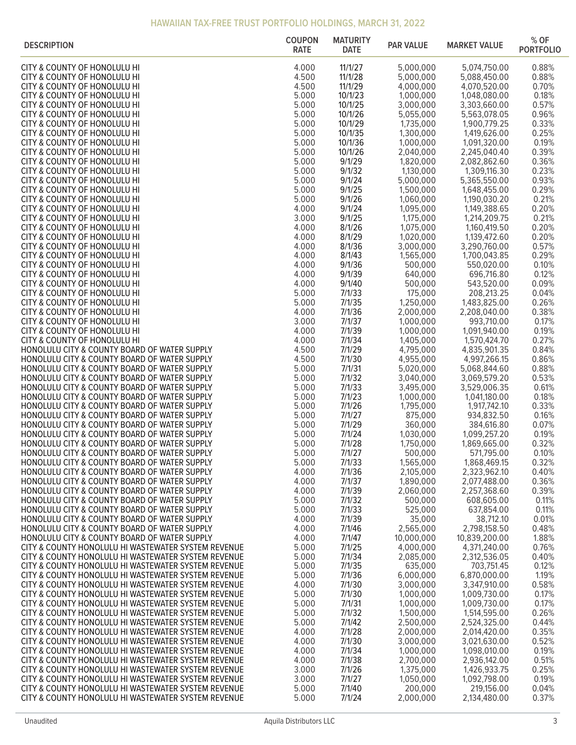| <b>DESCRIPTION</b>                                                                                         | <b>COUPON</b><br><b>RATE</b> | <b>MATURITY</b><br><b>DATE</b> | <b>PAR VALUE</b>       | <b>MARKET VALUE</b>          | $%$ OF<br><b>PORTFOLIO</b> |
|------------------------------------------------------------------------------------------------------------|------------------------------|--------------------------------|------------------------|------------------------------|----------------------------|
| CITY & COUNTY OF HONOLULU HI                                                                               | 4.000                        | 11/1/27                        | 5,000,000              | 5,074,750.00                 | 0.88%                      |
| CITY & COUNTY OF HONOLULU HI                                                                               | 4.500                        | 11/1/28                        | 5,000,000              | 5,088,450.00                 | 0.88%                      |
| CITY & COUNTY OF HONOLULU HI                                                                               | 4.500                        | 11/1/29                        | 4,000,000              | 4,070,520.00                 | 0.70%                      |
| CITY & COUNTY OF HONOLULU HI<br>CITY & COUNTY OF HONOLULU HI                                               | 5.000<br>5.000               | 10/1/23<br>10/1/25             | 1,000,000<br>3,000,000 | 1,048,080.00<br>3,303,660.00 | 0.18%<br>0.57%             |
| CITY & COUNTY OF HONOLULU HI                                                                               | 5.000                        | 10/1/26                        | 5,055,000              | 5,563,078.05                 | 0.96%                      |
| CITY & COUNTY OF HONOLULU HI                                                                               | 5.000                        | 10/1/29                        | 1,735,000              | 1,900,779.25                 | 0.33%                      |
| CITY & COUNTY OF HONOLULU HI                                                                               | 5.000                        | 10/1/35                        | 1,300,000              | 1,419,626.00                 | 0.25%                      |
| CITY & COUNTY OF HONOLULU HI                                                                               | 5.000                        | 10/1/36                        | 1,000,000              | 1,091,320.00                 | 0.19%                      |
| CITY & COUNTY OF HONOLULU HI<br>CITY & COUNTY OF HONOLULU HI                                               | 5.000<br>5.000               | 10/1/26<br>9/1/29              | 2,040,000<br>1,820,000 | 2,245,040.40<br>2,082,862.60 | 0.39%<br>0.36%             |
| CITY & COUNTY OF HONOLULU HI                                                                               | 5.000                        | 9/1/32                         | 1,130,000              | 1,309,116.30                 | 0.23%                      |
| CITY & COUNTY OF HONOLULU HI                                                                               | 5.000                        | 9/1/24                         | 5,000,000              | 5,365,550.00                 | 0.93%                      |
| CITY & COUNTY OF HONOLULU HI                                                                               | 5.000                        | 9/1/25                         | 1,500,000              | 1,648,455.00                 | 0.29%                      |
| CITY & COUNTY OF HONOLULU HI                                                                               | 5.000                        | 9/1/26                         | 1,060,000              | 1,190,030.20                 | 0.21%                      |
| CITY & COUNTY OF HONOLULU HI<br>CITY & COUNTY OF HONOLULU HI                                               | 4.000<br>3.000               | 9/1/24<br>9/1/25               | 1,095,000<br>1,175,000 | 1,149,388.65<br>1,214,209.75 | 0.20%<br>0.21%             |
| CITY & COUNTY OF HONOLULU HI                                                                               | 4.000                        | 8/1/26                         | 1,075,000              | 1,160,419.50                 | 0.20%                      |
| CITY & COUNTY OF HONOLULU HI                                                                               | 4.000                        | 8/1/29                         | 1,020,000              | 1,139,472.60                 | 0.20%                      |
| CITY & COUNTY OF HONOLULU HI                                                                               | 4.000                        | 8/1/36                         | 3,000,000              | 3,290,760.00                 | 0.57%                      |
| CITY & COUNTY OF HONOLULU HI<br>CITY & COUNTY OF HONOLULU HI                                               | 4.000<br>4.000               | 8/1/43<br>9/1/36               | 1,565,000<br>500,000   | 1,700,043.85<br>550,020.00   | 0.29%<br>0.10%             |
| CITY & COUNTY OF HONOLULU HI                                                                               | 4.000                        | 9/1/39                         | 640,000                | 696,716.80                   | 0.12%                      |
| CITY & COUNTY OF HONOLULU HI                                                                               | 4.000                        | 9/1/40                         | 500,000                | 543,520.00                   | 0.09%                      |
| CITY & COUNTY OF HONOLULU HI                                                                               | 5.000                        | 7/1/33                         | 175,000                | 208,213.25                   | 0.04%                      |
| CITY & COUNTY OF HONOLULU HI                                                                               | 5.000                        | 7/1/35                         | 1,250,000              | 1,483,825.00                 | 0.26%                      |
| CITY & COUNTY OF HONOLULU HI<br>CITY & COUNTY OF HONOLULU HI                                               | 4.000<br>3.000               | 7/1/36<br>7/1/37               | 2,000,000<br>1,000,000 | 2,208,040.00<br>993,710.00   | 0.38%<br>0.17%             |
| CITY & COUNTY OF HONOLULU HI                                                                               | 4.000                        | 7/1/39                         | 1,000,000              | 1,091,940.00                 | 0.19%                      |
| CITY & COUNTY OF HONOLULU HI                                                                               | 4.000                        | 7/1/34                         | 1,405,000              | 1,570,424.70                 | 0.27%                      |
| HONOLULU CITY & COUNTY BOARD OF WATER SUPPLY                                                               | 4.500                        | 7/1/29                         | 4,795,000              | 4,835,901.35                 | 0.84%                      |
| HONOLULU CITY & COUNTY BOARD OF WATER SUPPLY                                                               | 4.500<br>5.000               | 7/1/30<br>7/1/31               | 4,955,000<br>5,020,000 | 4,997,266.15                 | 0.86%<br>0.88%             |
| HONOLULU CITY & COUNTY BOARD OF WATER SUPPLY<br>HONOLULU CITY & COUNTY BOARD OF WATER SUPPLY               | 5.000                        | 7/1/32                         | 3,040,000              | 5,068,844.60<br>3,069,579.20 | 0.53%                      |
| HONOLULU CITY & COUNTY BOARD OF WATER SUPPLY                                                               | 5.000                        | 7/1/33                         | 3,495,000              | 3,529,006.35                 | 0.61%                      |
| HONOLULU CITY & COUNTY BOARD OF WATER SUPPLY                                                               | 5.000                        | 7/1/23                         | 1,000,000              | 1,041,180.00                 | 0.18%                      |
| HONOLULU CITY & COUNTY BOARD OF WATER SUPPLY                                                               | 5.000                        | 7/1/26                         | 1,795,000              | 1,917,742.10                 | 0.33%                      |
| HONOLULU CITY & COUNTY BOARD OF WATER SUPPLY<br>HONOLULU CITY & COUNTY BOARD OF WATER SUPPLY               | 5.000<br>5.000               | 7/1/27<br>7/1/29               | 875,000<br>360,000     | 934,832.50<br>384,616.80     | 0.16%<br>0.07%             |
| HONOLULU CITY & COUNTY BOARD OF WATER SUPPLY                                                               | 5.000                        | 7/1/24                         | 1,030,000              | 1,099,257.20                 | 0.19%                      |
| HONOLULU CITY & COUNTY BOARD OF WATER SUPPLY                                                               | 5.000                        | 7/1/28                         | 1,750,000              | 1,869,665.00                 | 0.32%                      |
| HONOLULU CITY & COUNTY BOARD OF WATER SUPPLY                                                               | 5.000                        | 7/1/27                         | 500,000                | 571,795.00                   | 0.10%                      |
| HONOLULU CITY & COUNTY BOARD OF WATER SUPPLY<br>HONOLULU CITY & COUNTY BOARD OF WATER SUPPLY               | 5.000                        | 7/1/33                         | 1,565,000              | 1,868,469.15                 | 0.32%                      |
| HONOLULU CITY & COUNTY BOARD OF WATER SUPPLY                                                               | 4.000<br>4.000               | 7/1/36<br>7/1/37               | 2,105,000<br>1,890,000 | 2,323,962.10<br>2,077,488.00 | 0.40%<br>0.36%             |
| HONOLULU CITY & COUNTY BOARD OF WATER SUPPLY                                                               | 4.000                        | 7/1/39                         | 2,060,000              | 2,257,368.60                 | 0.39%                      |
| HONOLULU CITY & COUNTY BOARD OF WATER SUPPLY                                                               | 5.000                        | 7/1/32                         | 500,000                | 608,605.00                   | 0.11%                      |
| HONOLULU CITY & COUNTY BOARD OF WATER SUPPLY                                                               | 5.000                        | 7/1/33                         | 525,000                | 637,854.00                   | 0.11%                      |
| HONOLULU CITY & COUNTY BOARD OF WATER SUPPLY<br>HONOLULU CITY & COUNTY BOARD OF WATER SUPPLY               | 4.000<br>4.000               | 7/1/39<br>7/1/46               | 35,000<br>2,565,000    | 38,712.10<br>2,798,158.50    | 0.01%<br>0.48%             |
| HONOLULU CITY & COUNTY BOARD OF WATER SUPPLY                                                               | 4.000                        | 7/1/47                         | 10,000,000             | 10,839,200.00                | 1.88%                      |
| CITY & COUNTY HONOLULU HI WASTEWATER SYSTEM REVENUE                                                        | 5.000                        | 7/1/25                         | 4,000,000              | 4,371,240.00                 | 0.76%                      |
| CITY & COUNTY HONOLULU HI WASTEWATER SYSTEM REVENUE                                                        | 5.000                        | 7/1/34                         | 2,085,000              | 2,312,536.05                 | 0.40%                      |
| CITY & COUNTY HONOLULU HI WASTEWATER SYSTEM REVENUE                                                        | 5.000                        | 7/1/35                         | 635,000                | 703,751.45                   | 0.12%                      |
| CITY & COUNTY HONOLULU HI WASTEWATER SYSTEM REVENUE<br>CITY & COUNTY HONOLULU HI WASTEWATER SYSTEM REVENUE | 5.000<br>4.000               | 7/1/36<br>7/1/30               | 6,000,000<br>3,000,000 | 6,870,000.00<br>3,347,910.00 | 1.19%<br>0.58%             |
| CITY & COUNTY HONOLULU HI WASTEWATER SYSTEM REVENUE                                                        | 5.000                        | 7/1/30                         | 1,000,000              | 1,009,730.00                 | 0.17%                      |
| CITY & COUNTY HONOLULU HI WASTEWATER SYSTEM REVENUE                                                        | 5.000                        | 7/1/31                         | 1,000,000              | 1,009,730.00                 | 0.17%                      |
| CITY & COUNTY HONOLULU HI WASTEWATER SYSTEM REVENUE                                                        | 5.000                        | 7/1/32                         | 1,500,000              | 1,514,595.00                 | 0.26%                      |
| CITY & COUNTY HONOLULU HI WASTEWATER SYSTEM REVENUE<br>CITY & COUNTY HONOLULU HI WASTEWATER SYSTEM REVENUE | 5.000<br>4.000               | 7/1/42<br>7/1/28               | 2,500,000<br>2,000,000 | 2,524,325.00<br>2,014,420.00 | 0.44%<br>0.35%             |
| CITY & COUNTY HONOLULU HI WASTEWATER SYSTEM REVENUE                                                        | 4.000                        | 7/1/30                         | 3,000,000              | 3,021,630.00                 | 0.52%                      |
| CITY & COUNTY HONOLULU HI WASTEWATER SYSTEM REVENUE                                                        | 4.000                        | 7/1/34                         | 1,000,000              | 1,098,010.00                 | 0.19%                      |
| CITY & COUNTY HONOLULU HI WASTEWATER SYSTEM REVENUE                                                        | 4.000                        | 7/1/38                         | 2,700,000              | 2,936,142.00                 | 0.51%                      |
| CITY & COUNTY HONOLULU HI WASTEWATER SYSTEM REVENUE                                                        | 3.000                        | 7/1/26                         | 1,375,000              | 1,426,933.75                 | 0.25%                      |
| CITY & COUNTY HONOLULU HI WASTEWATER SYSTEM REVENUE<br>CITY & COUNTY HONOLULU HI WASTEWATER SYSTEM REVENUE | 3.000<br>5.000               | 7/1/27<br>7/1/40               | 1,050,000<br>200,000   | 1,092,798.00<br>219,156.00   | 0.19%<br>0.04%             |
| CITY & COUNTY HONOLULU HI WASTEWATER SYSTEM REVENUE                                                        | 5.000                        | 7/1/24                         | 2,000,000              | 2,134,480.00                 | 0.37%                      |